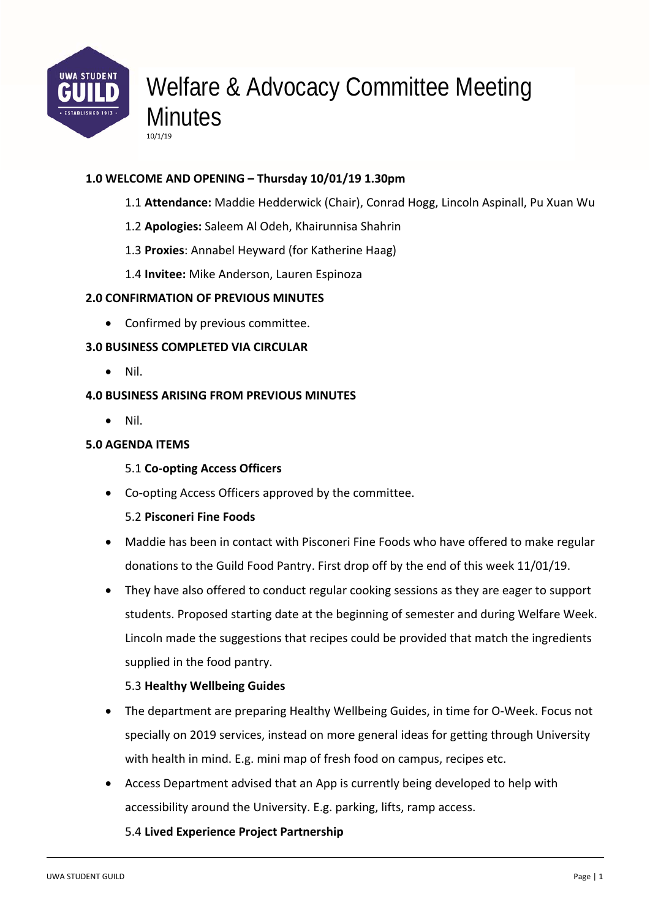

# Welfare & Advocacy Committee Meeting **Minutes**

## **1.0 WELCOME AND OPENING – Thursday 10/01/19 1.30pm**

- 1.1 **Attendance:** Maddie Hedderwick (Chair), Conrad Hogg, Lincoln Aspinall, Pu Xuan Wu
- 1.2 **Apologies:** Saleem Al Odeh, Khairunnisa Shahrin
- 1.3 **Proxies**: Annabel Heyward (for Katherine Haag)
- 1.4 **Invitee:** Mike Anderson, Lauren Espinoza

#### **2.0 CONFIRMATION OF PREVIOUS MINUTES**

10/1/19

Confirmed by previous committee.

### **3.0 BUSINESS COMPLETED VIA CIRCULAR**

Nil.

#### **4.0 BUSINESS ARISING FROM PREVIOUS MINUTES**

Nil.

### **5.0 AGENDA ITEMS**

#### 5.1 **Co‐opting Access Officers**

● Co-opting Access Officers approved by the committee.

#### 5.2 **Pisconeri Fine Foods**

- Maddie has been in contact with Pisconeri Fine Foods who have offered to make regular donations to the Guild Food Pantry. First drop off by the end of this week 11/01/19.
- They have also offered to conduct regular cooking sessions as they are eager to support students. Proposed starting date at the beginning of semester and during Welfare Week. Lincoln made the suggestions that recipes could be provided that match the ingredients supplied in the food pantry.

## 5.3 **Healthy Wellbeing Guides**

- The department are preparing Healthy Wellbeing Guides, in time for O‐Week. Focus not specially on 2019 services, instead on more general ideas for getting through University with health in mind. E.g. mini map of fresh food on campus, recipes etc.
- Access Department advised that an App is currently being developed to help with accessibility around the University. E.g. parking, lifts, ramp access.

## 5.4 **Lived Experience Project Partnership**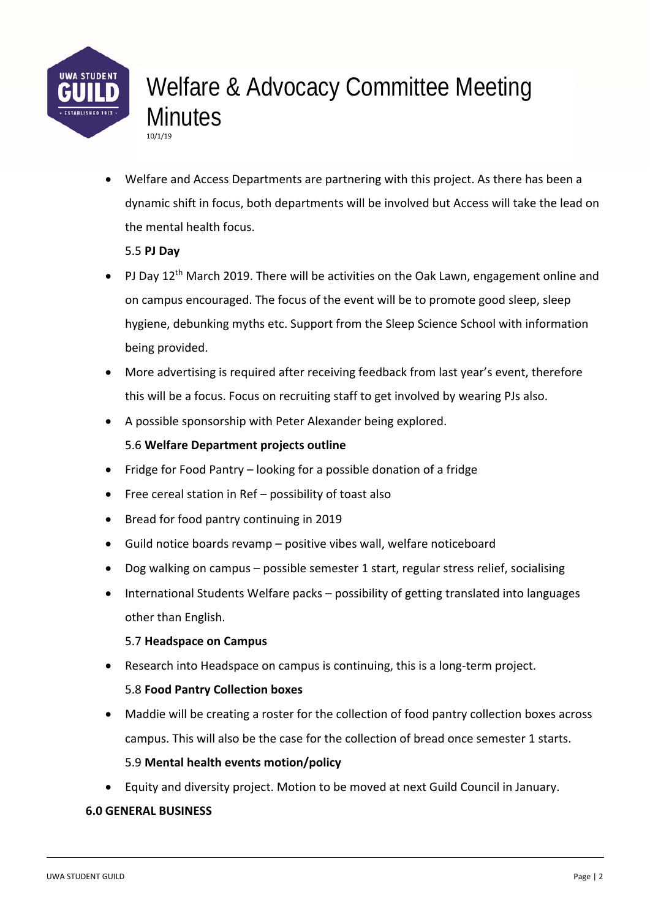

## Welfare & Advocacy Committee Meeting **Minutes** 10/1/19

 Welfare and Access Departments are partnering with this project. As there has been a dynamic shift in focus, both departments will be involved but Access will take the lead on the mental health focus.

5.5 **PJ Day** 

- PJ Day  $12<sup>th</sup>$  March 2019. There will be activities on the Oak Lawn, engagement online and on campus encouraged. The focus of the event will be to promote good sleep, sleep hygiene, debunking myths etc. Support from the Sleep Science School with information being provided.
- More advertising is required after receiving feedback from last year's event, therefore this will be a focus. Focus on recruiting staff to get involved by wearing PJs also.
- A possible sponsorship with Peter Alexander being explored.

## 5.6 **Welfare Department projects outline**

- Fridge for Food Pantry looking for a possible donation of a fridge
- Free cereal station in Ref possibility of toast also
- Bread for food pantry continuing in 2019
- Guild notice boards revamp positive vibes wall, welfare noticeboard
- Dog walking on campus possible semester 1 start, regular stress relief, socialising
- International Students Welfare packs possibility of getting translated into languages other than English.

## 5.7 **Headspace on Campus**

Research into Headspace on campus is continuing, this is a long-term project.

## 5.8 **Food Pantry Collection boxes**

 Maddie will be creating a roster for the collection of food pantry collection boxes across campus. This will also be the case for the collection of bread once semester 1 starts.

## 5.9 **Mental health events motion/policy**

Equity and diversity project. Motion to be moved at next Guild Council in January.

## **6.0 GENERAL BUSINESS**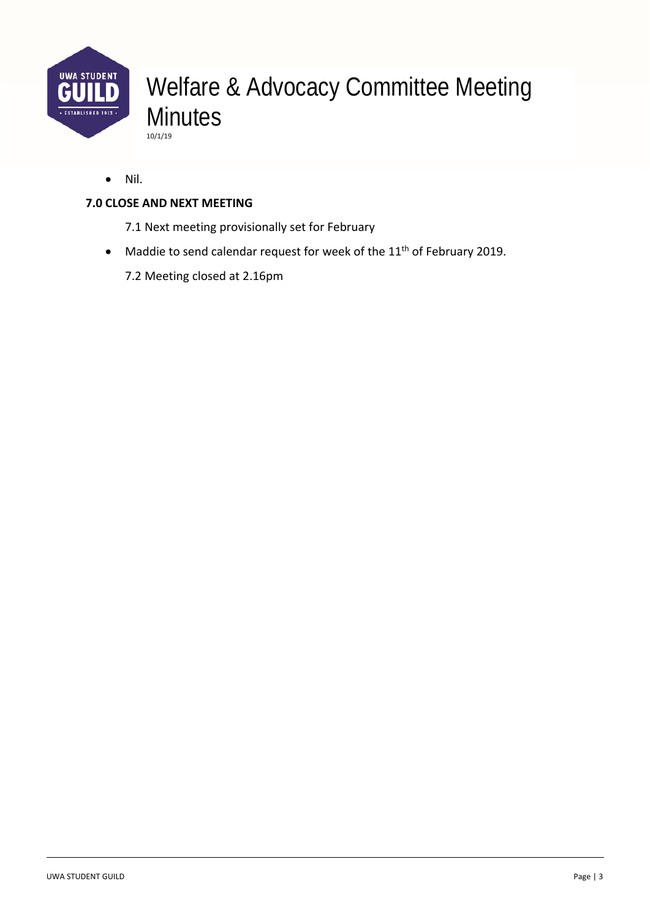

## Welfare & Advocacy Committee Meeting **Minutes** 10/1/19

• Nil.

## **7.0 CLOSE AND NEXT MEETING**

- 7.1 Next meeting provisionally set for February
- Maddie to send calendar request for week of the 11<sup>th</sup> of February 2019.
	- 7.2 Meeting closed at 2.16pm